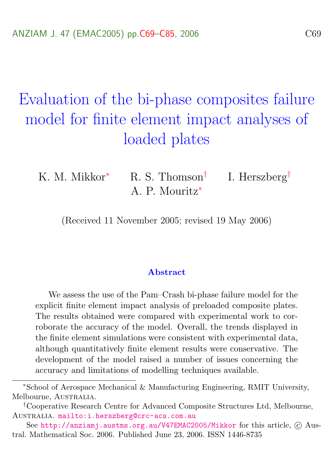# <span id="page-0-0"></span>Evaluation of the bi-phase composites failure model for finite element impact analyses of loaded plates

| K. M. Mikkor* R. S. Thomson <sup>†</sup> I. Herszberg <sup>†</sup> |  |
|--------------------------------------------------------------------|--|
| A. P. Mouritz <sup>*</sup>                                         |  |

(Received 11 November 2005; revised 19 May 2006)

#### **Abstract**

We assess the use of the Pam–Crash bi-phase failure model for the explicit finite element impact analysis of preloaded composite plates. The results obtained were compared with experimental work to corroborate the accuracy of the model. Overall, the trends displayed in the finite element simulations were consistent with experimental data, although quantitatively finite element results were conservative. The development of the model raised a number of issues concerning the accuracy and limitations of modelling techniques available.

<sup>∗</sup>School of Aerospace Mechanical & Manufacturing Engineering, RMIT University, Melbourne, AUSTRALIA.

<sup>†</sup>Cooperative Research Centre for Advanced Composite Structures Ltd, Melbourne, Australia. <mailto:i.herszberg@crc-acs.com.au>

See <http://anziamj.austms.org.au/V47EMAC2005/Mikkor> for this article,  $\odot$  Austral. Mathematical Soc. 2006. Published June 23, 2006. ISSN 1446-8735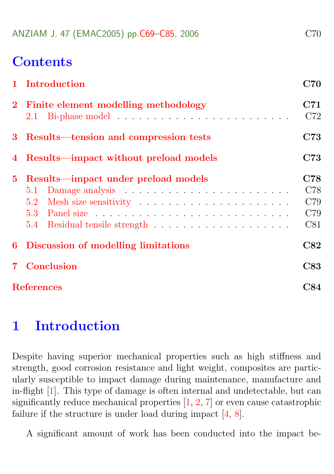# <span id="page-1-1"></span>**Contents**

|    | 1 Introduction                             | C70                             |  |
|----|--------------------------------------------|---------------------------------|--|
|    | 2 Finite element modelling methodology     | C71<br>C72                      |  |
|    | 3 Results—tension and compression tests    | C73                             |  |
|    | 4 Results—impact without preload models    |                                 |  |
| 5. | Results—impact under preload models<br>5.1 | C78<br>C78<br>C79<br>C79<br>C81 |  |
|    | 6 Discussion of modelling limitations      | C82                             |  |
|    | <b>Conclusion</b>                          |                                 |  |
|    | <b>References</b>                          | C84                             |  |

# <span id="page-1-0"></span>1 Introduction

Despite having superior mechanical properties such as high stiffness and strength, good corrosion resistance and light weight, composites are particularly susceptible to impact damage during maintenance, manufacture and in-flight [\[1\]](#page-15-1). This type of damage is often internal and undetectable, but can significantly reduce mechanical properties [\[1,](#page-15-1) [2,](#page-15-2) [7\]](#page-16-0) or even cause catastrophic failure if the structure is under load during impact [\[4,](#page-15-3) [8\]](#page-16-1).

A significant amount of work has been conducted into the impact be-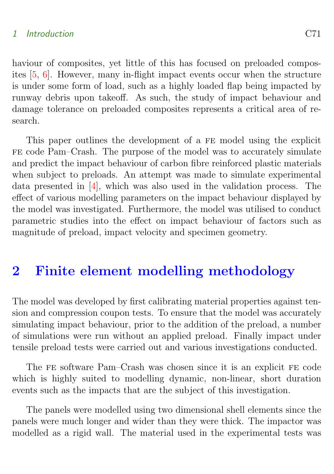#### <span id="page-2-1"></span>1 Introduction C71

haviour of composites, yet little of this has focused on preloaded composites [\[5,](#page-16-2) [6\]](#page-16-3). However, many in-flight impact events occur when the structure is under some form of load, such as a highly loaded flap being impacted by runway debris upon takeoff. As such, the study of impact behaviour and damage tolerance on preloaded composites represents a critical area of research.

This paper outlines the development of a FE model using the explicit FE code Pam–Crash. The purpose of the model was to accurately simulate and predict the impact behaviour of carbon fibre reinforced plastic materials when subject to preloads. An attempt was made to simulate experimental data presented in [\[4\]](#page-15-3), which was also used in the validation process. The effect of various modelling parameters on the impact behaviour displayed by the model was investigated. Furthermore, the model was utilised to conduct parametric studies into the effect on impact behaviour of factors such as magnitude of preload, impact velocity and specimen geometry.

## <span id="page-2-0"></span>2 Finite element modelling methodology

The model was developed by first calibrating material properties against tension and compression coupon tests. To ensure that the model was accurately simulating impact behaviour, prior to the addition of the preload, a number of simulations were run without an applied preload. Finally impact under tensile preload tests were carried out and various investigations conducted.

The FE software Pam–Crash was chosen since it is an explicit FE code which is highly suited to modelling dynamic, non-linear, short duration events such as the impacts that are the subject of this investigation.

The panels were modelled using two dimensional shell elements since the panels were much longer and wider than they were thick. The impactor was modelled as a rigid wall. The material used in the experimental tests was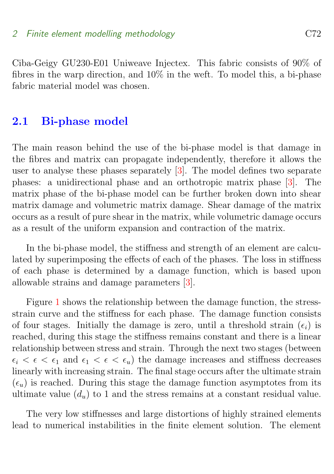<span id="page-3-1"></span>Ciba-Geigy GU230-E01 Uniweave Injectex. This fabric consists of 90% of fibres in the warp direction, and 10% in the weft. To model this, a bi-phase fabric material model was chosen.

#### <span id="page-3-0"></span>2.1 Bi-phase model

The main reason behind the use of the bi-phase model is that damage in the fibres and matrix can propagate independently, therefore it allows the user to analyse these phases separately [\[3\]](#page-15-4). The model defines two separate phases: a unidirectional phase and an orthotropic matrix phase [\[3\]](#page-15-4). The matrix phase of the bi-phase model can be further broken down into shear matrix damage and volumetric matrix damage. Shear damage of the matrix occurs as a result of pure shear in the matrix, while volumetric damage occurs as a result of the uniform expansion and contraction of the matrix.

In the bi-phase model, the stiffness and strength of an element are calculated by superimposing the effects of each of the phases. The loss in stiffness of each phase is determined by a damage function, which is based upon allowable strains and damage parameters [\[3\]](#page-15-4).

Figure [1](#page-5-0) shows the relationship between the damage function, the stressstrain curve and the stiffness for each phase. The damage function consists of four stages. Initially the damage is zero, until a threshold strain  $(\epsilon_i)$  is reached, during this stage the stiffness remains constant and there is a linear relationship between stress and strain. Through the next two stages (between  $\epsilon_i < \epsilon < \epsilon_1$  and  $\epsilon_1 < \epsilon < \epsilon_u$ ) the damage increases and stiffness decreases linearly with increasing strain. The final stage occurs after the ultimate strain  $(\epsilon_u)$  is reached. During this stage the damage function asymptotes from its ultimate value  $(d_u)$  to 1 and the stress remains at a constant residual value.

The very low stiffnesses and large distortions of highly strained elements lead to numerical instabilities in the finite element solution. The element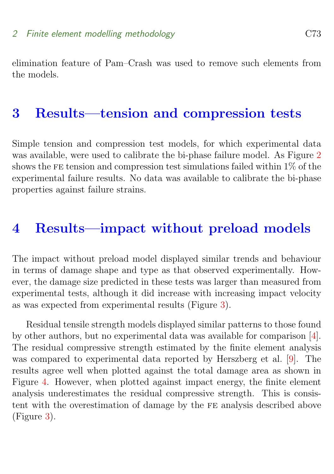<span id="page-4-2"></span>elimination feature of Pam–Crash was used to remove such elements from the models.

#### <span id="page-4-0"></span>3 Results—tension and compression tests

Simple tension and compression test models, for which experimental data was available, were used to calibrate the bi-phase failure model. As Figure [2](#page-6-0) shows the FE tension and compression test simulations failed within  $1\%$  of the experimental failure results. No data was available to calibrate the bi-phase properties against failure strains.

#### <span id="page-4-1"></span>4 Results—impact without preload models

The impact without preload model displayed similar trends and behaviour in terms of damage shape and type as that observed experimentally. However, the damage size predicted in these tests was larger than measured from experimental tests, although it did increase with increasing impact velocity as was expected from experimental results (Figure [3\)](#page-7-0).

Residual tensile strength models displayed similar patterns to those found by other authors, but no experimental data was available for comparison [\[4\]](#page-15-3). The residual compressive strength estimated by the finite element analysis was compared to experimental data reported by Herszberg et al. [\[9\]](#page-16-4). The results agree well when plotted against the total damage area as shown in Figure [4.](#page-8-0) However, when plotted against impact energy, the finite element analysis underestimates the residual compressive strength. This is consistent with the overestimation of damage by the fe analysis described above (Figure [3\)](#page-7-0).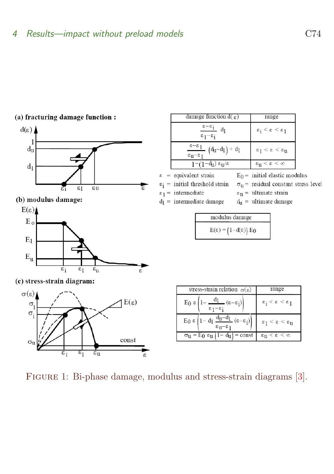

<span id="page-5-1"></span>

|  |  | (a) fracturing damage function : |  |  |  |
|--|--|----------------------------------|--|--|--|
|--|--|----------------------------------|--|--|--|

| damage function $d(\varepsilon)$                                                                  | range                                |
|---------------------------------------------------------------------------------------------------|--------------------------------------|
| $\frac{\varepsilon - \varepsilon_1}{\varepsilon}$ d <sub>1</sub><br>$\varepsilon_1-\varepsilon_1$ | $\epsilon_i < \epsilon < \epsilon_1$ |
| $\xrightarrow{\epsilon-\epsilon_1} (d_u-d_1)+d_1$<br>$\varepsilon_{\mathrm{U}}$ - $\varepsilon$ 1 | $ε_1 < ε < ε_1$                      |
| $1-(1-du) εu/ε$                                                                                   | $\epsilon_{11} < \epsilon < \infty$  |

 $\varepsilon$  = equivalent strain

- $\varepsilon_i$  = initial threshold strain
- $\varepsilon_1$  = intermediate
- $d_1$  = intermediate damage
- $\varepsilon_{\rm u}$  = ultimate strain  $d_{\rm u}$  = ultimate damage

 $E_0$  = initial elastic modulus

 $\sigma_{\rm u}$  = residual constant stress level

| modulus damage                      |  |
|-------------------------------------|--|
| $E(\epsilon) = (1-d(\epsilon)) E_0$ |  |

|  | (c) stress-strain diagram: |  |  |
|--|----------------------------|--|--|
|  |                            |  |  |

 $\overline{\epsilon_i}$ 

 $\mathbf{E}_{\mathrm{u}}$ 



 $\overline{\epsilon}_1$  $\overline{\epsilon}_{\mathrm{u}}$ 

| stress-strain relation $\sigma(\varepsilon)$                                                              | range                                      |
|-----------------------------------------------------------------------------------------------------------|--------------------------------------------|
| E <sub>0</sub> ε $\left(1-\frac{d_1}{\epsilon_1-\epsilon_1}(\epsilon-\epsilon_1)\right)$                  | $\epsilon_i < \epsilon < \epsilon_1$       |
| E <sub>0</sub> ε $\left(1 - d_1 \frac{d_1 - d_1}{\epsilon_1 - \epsilon_1} (\epsilon - \epsilon_i)\right)$ | $\epsilon_1 < \epsilon < \epsilon_{\rm u}$ |
| $\sigma_{\mathbf{u}} = \text{E}_0 \varepsilon_{\mathbf{u}} (1 - d_{\mathbf{u}}) = \text{const}$           | $\varepsilon_{11} < \varepsilon < \infty$  |

<span id="page-5-0"></span>Figure 1: Bi-phase damage, modulus and stress-strain diagrams [\[3\]](#page-15-4).

 $\epsilon$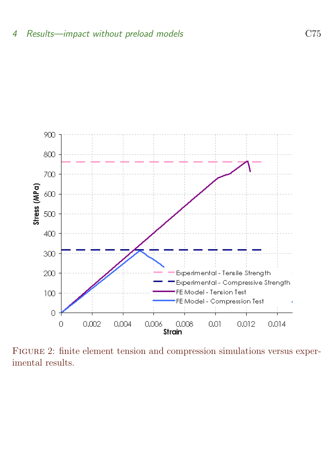

<span id="page-6-0"></span>Figure 2: finite element tension and compression simulations versus experimental results.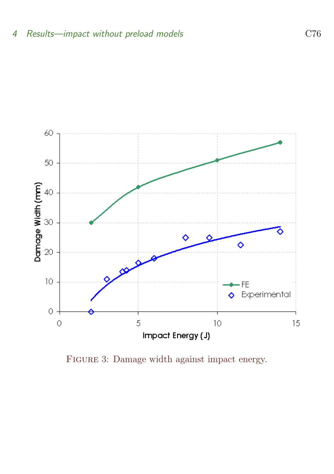

<span id="page-7-0"></span>FIGURE 3: Damage width against impact energy.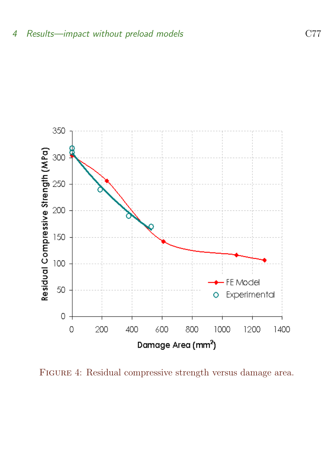

<span id="page-8-0"></span>FIGURE 4: Residual compressive strength versus damage area.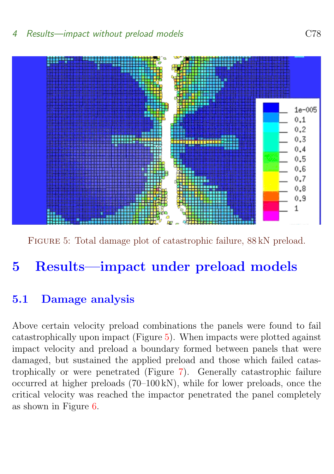

<span id="page-9-3"></span>Figure 5: Total damage plot of catastrophic failure, 88 kN preload.

# <span id="page-9-0"></span>5 Results—impact under preload models

#### <span id="page-9-1"></span>5.1 Damage analysis

<span id="page-9-2"></span>Above certain velocity preload combinations the panels were found to fail catastrophically upon impact (Figure [5\)](#page-9-3). When impacts were plotted against impact velocity and preload a boundary formed between panels that were damaged, but sustained the applied preload and those which failed catastrophically or were penetrated (Figure [7\)](#page-11-0). Generally catastrophic failure occurred at higher preloads (70–100 kN), while for lower preloads, once the critical velocity was reached the impactor penetrated the panel completely as shown in Figure [6.](#page-10-2)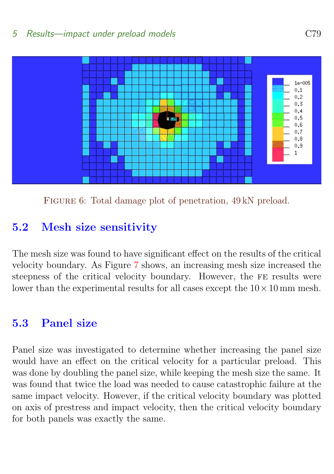

<span id="page-10-2"></span>FIGURE 6: Total damage plot of penetration, 49 kN preload.

## 5.2 Mesh size sensitivity

The mesh size was found to have significant effect on the results of the critical velocity boundary. As Figure [7](#page-11-0) shows, an increasing mesh size increased the steepness of the critical velocity boundary. However, the FE results were lower than the experimental results for all cases except the  $10 \times 10 \text{ mm}$  mesh.

#### <span id="page-10-0"></span>5.3 Panel size

<span id="page-10-1"></span>Panel size was investigated to determine whether increasing the panel size would have an effect on the critical velocity for a particular preload. This was done by doubling the panel size, while keeping the mesh size the same. It was found that twice the load was needed to cause catastrophic failure at the same impact velocity. However, if the critical velocity boundary was plotted on axis of prestress and impact velocity, then the critical velocity boundary for both panels was exactly the same.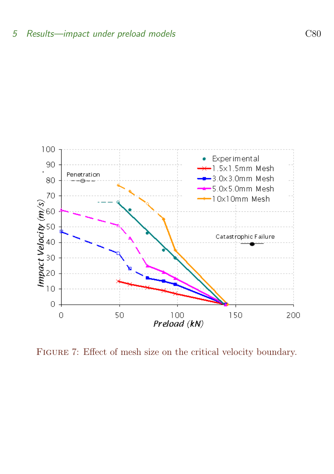

<span id="page-11-0"></span>FIGURE 7: Effect of mesh size on the critical velocity boundary.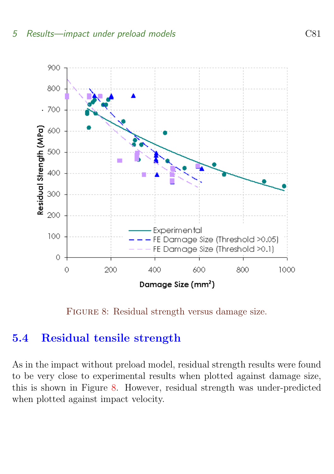

<span id="page-12-1"></span>Figure 8: Residual strength versus damage size.

#### 5.4 Residual tensile strength

<span id="page-12-0"></span>As in the impact without preload model, residual strength results were found to be very close to experimental results when plotted against damage size, this is shown in Figure [8.](#page-12-1) However, residual strength was under-predicted when plotted against impact velocity.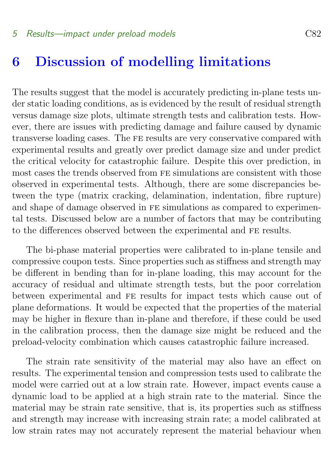#### 6 Discussion of modelling limitations

The results suggest that the model is accurately predicting in-plane tests under static loading conditions, as is evidenced by the result of residual strength versus damage size plots, ultimate strength tests and calibration tests. However, there are issues with predicting damage and failure caused by dynamic transverse loading cases. The fe results are very conservative compared with experimental results and greatly over predict damage size and under predict the critical velocity for catastrophic failure. Despite this over prediction, in most cases the trends observed from FE simulations are consistent with those observed in experimental tests. Although, there are some discrepancies between the type (matrix cracking, delamination, indentation, fibre rupture) and shape of damage observed in FE simulations as compared to experimental tests. Discussed below are a number of factors that may be contributing to the differences observed between the experimental and FE results.

The bi-phase material properties were calibrated to in-plane tensile and compressive coupon tests. Since properties such as stiffness and strength may be different in bending than for in-plane loading, this may account for the accuracy of residual and ultimate strength tests, but the poor correlation between experimental and fe results for impact tests which cause out of plane deformations. It would be expected that the properties of the material may be higher in flexure than in-plane and therefore, if these could be used in the calibration process, then the damage size might be reduced and the preload-velocity combination which causes catastrophic failure increased.

The strain rate sensitivity of the material may also have an effect on results. The experimental tension and compression tests used to calibrate the model were carried out at a low strain rate. However, impact events cause a dynamic load to be applied at a high strain rate to the material. Since the material may be strain rate sensitive, that is, its properties such as stiffness and strength may increase with increasing strain rate; a model calibrated at low strain rates may not accurately represent the material behaviour when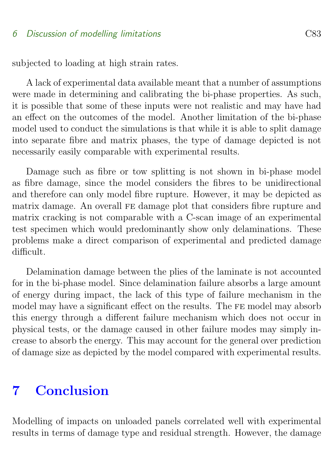#### 6 Discussion of modelling limitations C83

subjected to loading at high strain rates.

A lack of experimental data available meant that a number of assumptions were made in determining and calibrating the bi-phase properties. As such, it is possible that some of these inputs were not realistic and may have had an effect on the outcomes of the model. Another limitation of the bi-phase model used to conduct the simulations is that while it is able to split damage into separate fibre and matrix phases, the type of damage depicted is not necessarily easily comparable with experimental results.

Damage such as fibre or tow splitting is not shown in bi-phase model as fibre damage, since the model considers the fibres to be unidirectional and therefore can only model fibre rupture. However, it may be depicted as matrix damage. An overall FE damage plot that considers fibre rupture and matrix cracking is not comparable with a C-scan image of an experimental test specimen which would predominantly show only delaminations. These problems make a direct comparison of experimental and predicted damage difficult.

Delamination damage between the plies of the laminate is not accounted for in the bi-phase model. Since delamination failure absorbs a large amount of energy during impact, the lack of this type of failure mechanism in the model may have a significant effect on the results. The FE model may absorb this energy through a different failure mechanism which does not occur in physical tests, or the damage caused in other failure modes may simply increase to absorb the energy. This may account for the general over prediction of damage size as depicted by the model compared with experimental results.

## <span id="page-14-0"></span>7 Conclusion

Modelling of impacts on unloaded panels correlated well with experimental results in terms of damage type and residual strength. However, the damage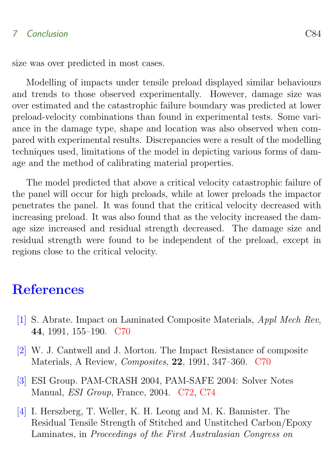#### 7 Conclusion C84

size was over predicted in most cases.

Modelling of impacts under tensile preload displayed similar behaviours and trends to those observed experimentally. However, damage size was over estimated and the catastrophic failure boundary was predicted at lower preload-velocity combinations than found in experimental tests. Some variance in the damage type, shape and location was also observed when compared with experimental results. Discrepancies were a result of the modelling techniques used, limitations of the model in depicting various forms of damage and the method of calibrating material properties.

The model predicted that above a critical velocity catastrophic failure of the panel will occur for high preloads, while at lower preloads the impactor penetrates the panel. It was found that the critical velocity decreased with increasing preload. It was also found that as the velocity increased the damage size increased and residual strength decreased. The damage size and residual strength were found to be independent of the preload, except in regions close to the critical velocity.

## **References**

- <span id="page-15-1"></span><span id="page-15-0"></span>[1] S. Abrate. Impact on Laminated Composite Materials, Appl Mech Rev, 44, 1991, 155–190. [C70](#page-1-1)
- <span id="page-15-2"></span>[2] W. J. Cantwell and J. Morton. The Impact Resistance of composite Materials, A Review, Composites, 22, 1991, 347–360. [C70](#page-1-1)
- <span id="page-15-4"></span>[3] ESI Group. PAM-CRASH 2004, PAM-SAFE 2004: Solver Notes Manual, ESI Group, France, 2004. [C72,](#page-3-1) [C74](#page-5-1)
- <span id="page-15-3"></span>[4] I. Herszberg, T. Weller, K. H. Leong and M. K. Bannister. The Residual Tensile Strength of Stitched and Unstitched Carbon/Epoxy Laminates, in Proceedings of the First Australasian Congress on